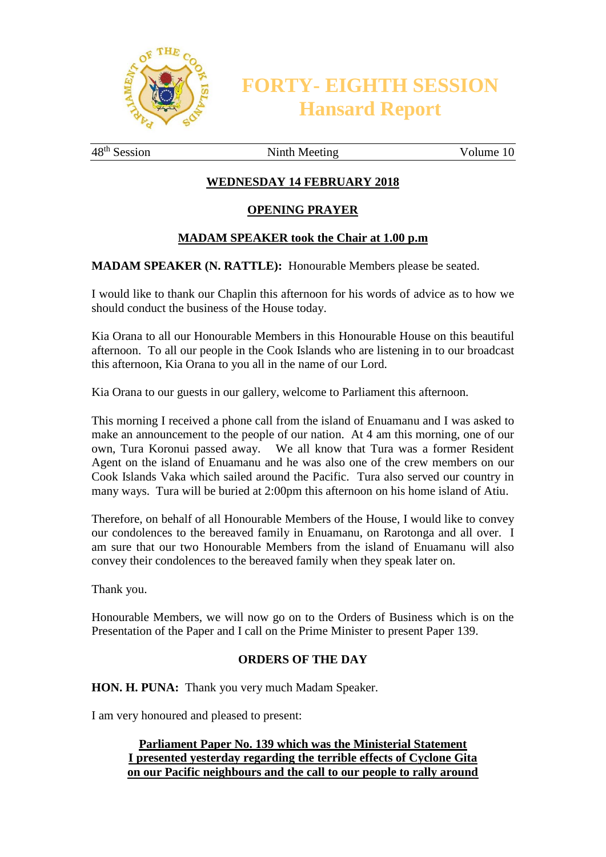

**FORTY- EIGHTH SESSION Hansard Report**

48<sup>th</sup> Session Ninth Meeting Volume 10

# **WEDNESDAY 14 FEBRUARY 2018**

### **OPENING PRAYER**

### **MADAM SPEAKER took the Chair at 1.00 p.m**

**MADAM SPEAKER (N. RATTLE):** Honourable Members please be seated.

I would like to thank our Chaplin this afternoon for his words of advice as to how we should conduct the business of the House today.

Kia Orana to all our Honourable Members in this Honourable House on this beautiful afternoon. To all our people in the Cook Islands who are listening in to our broadcast this afternoon, Kia Orana to you all in the name of our Lord.

Kia Orana to our guests in our gallery, welcome to Parliament this afternoon.

This morning I received a phone call from the island of Enuamanu and I was asked to make an announcement to the people of our nation. At 4 am this morning, one of our own, Tura Koronui passed away. We all know that Tura was a former Resident Agent on the island of Enuamanu and he was also one of the crew members on our Cook Islands Vaka which sailed around the Pacific. Tura also served our country in many ways. Tura will be buried at 2:00pm this afternoon on his home island of Atiu.

Therefore, on behalf of all Honourable Members of the House, I would like to convey our condolences to the bereaved family in Enuamanu, on Rarotonga and all over. I am sure that our two Honourable Members from the island of Enuamanu will also convey their condolences to the bereaved family when they speak later on.

Thank you.

Honourable Members, we will now go on to the Orders of Business which is on the Presentation of the Paper and I call on the Prime Minister to present Paper 139.

#### **ORDERS OF THE DAY**

**HON. H. PUNA:** Thank you very much Madam Speaker.

I am very honoured and pleased to present:

### **Parliament Paper No. 139 which was the Ministerial Statement I presented yesterday regarding the terrible effects of Cyclone Gita on our Pacific neighbours and the call to our people to rally around**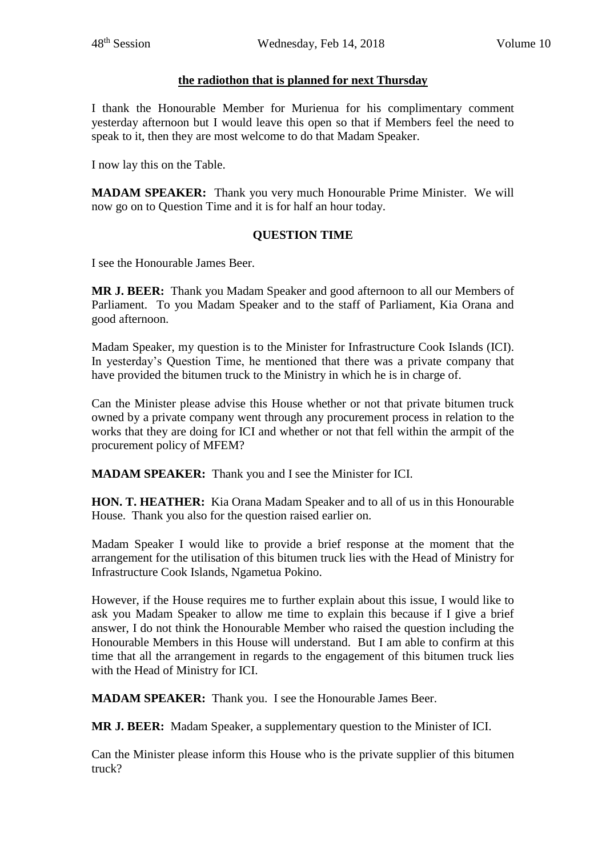# **the radiothon that is planned for next Thursday**

I thank the Honourable Member for Murienua for his complimentary comment yesterday afternoon but I would leave this open so that if Members feel the need to speak to it, then they are most welcome to do that Madam Speaker.

I now lay this on the Table.

**MADAM SPEAKER:** Thank you very much Honourable Prime Minister. We will now go on to Question Time and it is for half an hour today.

# **QUESTION TIME**

I see the Honourable James Beer.

**MR J. BEER:** Thank you Madam Speaker and good afternoon to all our Members of Parliament. To you Madam Speaker and to the staff of Parliament, Kia Orana and good afternoon.

Madam Speaker, my question is to the Minister for Infrastructure Cook Islands (ICI). In yesterday's Question Time, he mentioned that there was a private company that have provided the bitumen truck to the Ministry in which he is in charge of.

Can the Minister please advise this House whether or not that private bitumen truck owned by a private company went through any procurement process in relation to the works that they are doing for ICI and whether or not that fell within the armpit of the procurement policy of MFEM?

**MADAM SPEAKER:** Thank you and I see the Minister for ICI.

**HON. T. HEATHER:** Kia Orana Madam Speaker and to all of us in this Honourable House. Thank you also for the question raised earlier on.

Madam Speaker I would like to provide a brief response at the moment that the arrangement for the utilisation of this bitumen truck lies with the Head of Ministry for Infrastructure Cook Islands, Ngametua Pokino.

However, if the House requires me to further explain about this issue, I would like to ask you Madam Speaker to allow me time to explain this because if I give a brief answer, I do not think the Honourable Member who raised the question including the Honourable Members in this House will understand. But I am able to confirm at this time that all the arrangement in regards to the engagement of this bitumen truck lies with the Head of Ministry for ICI.

**MADAM SPEAKER:** Thank you. I see the Honourable James Beer.

**MR J. BEER:** Madam Speaker, a supplementary question to the Minister of ICI.

Can the Minister please inform this House who is the private supplier of this bitumen truck?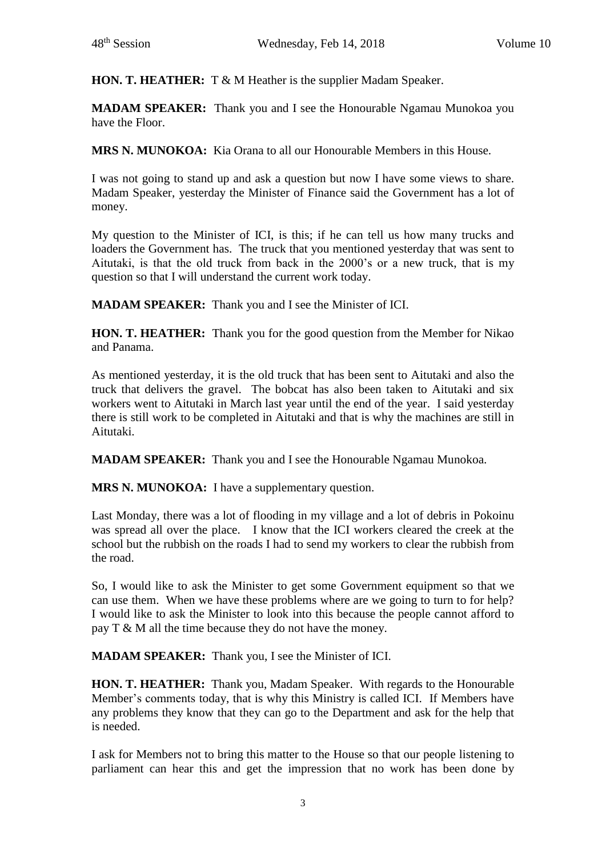**HON. T. HEATHER:** T & M Heather is the supplier Madam Speaker.

**MADAM SPEAKER:** Thank you and I see the Honourable Ngamau Munokoa you have the Floor.

**MRS N. MUNOKOA:** Kia Orana to all our Honourable Members in this House.

I was not going to stand up and ask a question but now I have some views to share. Madam Speaker, yesterday the Minister of Finance said the Government has a lot of money.

My question to the Minister of ICI, is this; if he can tell us how many trucks and loaders the Government has. The truck that you mentioned yesterday that was sent to Aitutaki, is that the old truck from back in the 2000's or a new truck, that is my question so that I will understand the current work today.

**MADAM SPEAKER:** Thank you and I see the Minister of ICI.

**HON. T. HEATHER:** Thank you for the good question from the Member for Nikao and Panama.

As mentioned yesterday, it is the old truck that has been sent to Aitutaki and also the truck that delivers the gravel. The bobcat has also been taken to Aitutaki and six workers went to Aitutaki in March last year until the end of the year. I said yesterday there is still work to be completed in Aitutaki and that is why the machines are still in Aitutaki.

**MADAM SPEAKER:** Thank you and I see the Honourable Ngamau Munokoa.

**MRS N. MUNOKOA:** I have a supplementary question.

Last Monday, there was a lot of flooding in my village and a lot of debris in Pokoinu was spread all over the place. I know that the ICI workers cleared the creek at the school but the rubbish on the roads I had to send my workers to clear the rubbish from the road.

So, I would like to ask the Minister to get some Government equipment so that we can use them. When we have these problems where are we going to turn to for help? I would like to ask the Minister to look into this because the people cannot afford to pay T & M all the time because they do not have the money.

**MADAM SPEAKER:** Thank you, I see the Minister of ICI.

**HON. T. HEATHER:** Thank you, Madam Speaker. With regards to the Honourable Member's comments today, that is why this Ministry is called ICI. If Members have any problems they know that they can go to the Department and ask for the help that is needed.

I ask for Members not to bring this matter to the House so that our people listening to parliament can hear this and get the impression that no work has been done by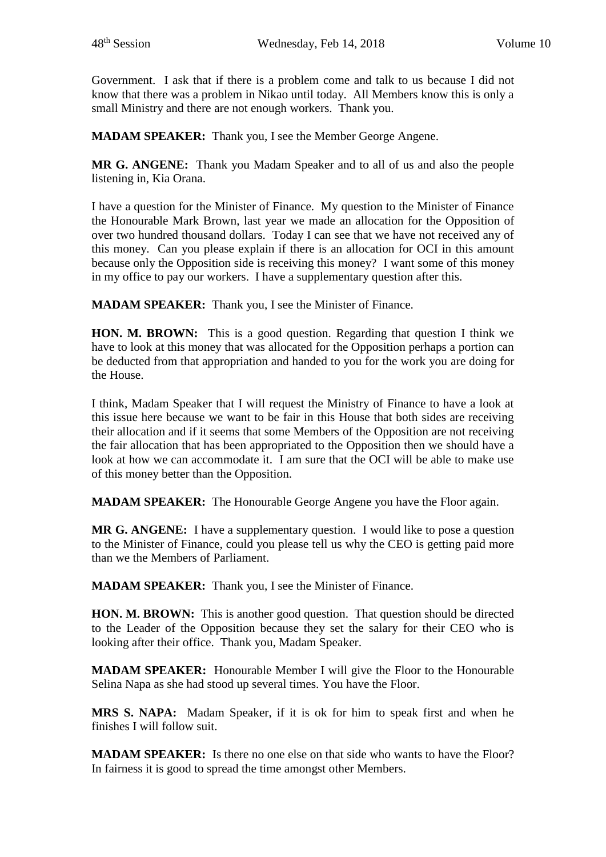Government. I ask that if there is a problem come and talk to us because I did not know that there was a problem in Nikao until today. All Members know this is only a small Ministry and there are not enough workers. Thank you.

**MADAM SPEAKER:** Thank you, I see the Member George Angene.

**MR G. ANGENE:** Thank you Madam Speaker and to all of us and also the people listening in, Kia Orana.

I have a question for the Minister of Finance. My question to the Minister of Finance the Honourable Mark Brown, last year we made an allocation for the Opposition of over two hundred thousand dollars. Today I can see that we have not received any of this money. Can you please explain if there is an allocation for OCI in this amount because only the Opposition side is receiving this money? I want some of this money in my office to pay our workers. I have a supplementary question after this.

**MADAM SPEAKER:** Thank you, I see the Minister of Finance.

**HON. M. BROWN:** This is a good question. Regarding that question I think we have to look at this money that was allocated for the Opposition perhaps a portion can be deducted from that appropriation and handed to you for the work you are doing for the House.

I think, Madam Speaker that I will request the Ministry of Finance to have a look at this issue here because we want to be fair in this House that both sides are receiving their allocation and if it seems that some Members of the Opposition are not receiving the fair allocation that has been appropriated to the Opposition then we should have a look at how we can accommodate it. I am sure that the OCI will be able to make use of this money better than the Opposition.

**MADAM SPEAKER:** The Honourable George Angene you have the Floor again.

**MR G. ANGENE:** I have a supplementary question. I would like to pose a question to the Minister of Finance, could you please tell us why the CEO is getting paid more than we the Members of Parliament.

**MADAM SPEAKER:** Thank you, I see the Minister of Finance.

**HON. M. BROWN:** This is another good question. That question should be directed to the Leader of the Opposition because they set the salary for their CEO who is looking after their office. Thank you, Madam Speaker.

**MADAM SPEAKER:** Honourable Member I will give the Floor to the Honourable Selina Napa as she had stood up several times. You have the Floor.

**MRS S. NAPA:** Madam Speaker, if it is ok for him to speak first and when he finishes I will follow suit.

**MADAM SPEAKER:** Is there no one else on that side who wants to have the Floor? In fairness it is good to spread the time amongst other Members.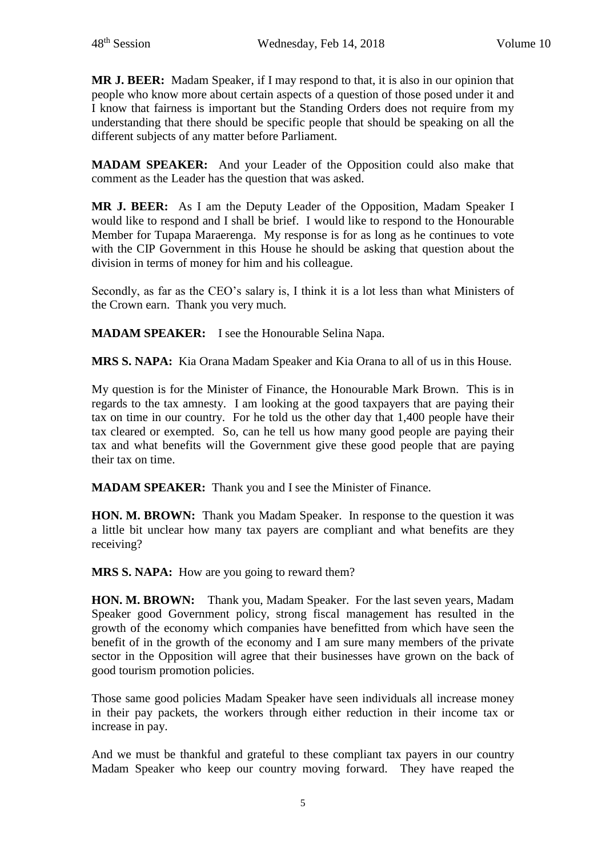**MR J. BEER:** Madam Speaker, if I may respond to that, it is also in our opinion that people who know more about certain aspects of a question of those posed under it and I know that fairness is important but the Standing Orders does not require from my understanding that there should be specific people that should be speaking on all the different subjects of any matter before Parliament.

**MADAM SPEAKER:** And your Leader of the Opposition could also make that comment as the Leader has the question that was asked.

**MR J. BEER:** As I am the Deputy Leader of the Opposition, Madam Speaker I would like to respond and I shall be brief. I would like to respond to the Honourable Member for Tupapa Maraerenga. My response is for as long as he continues to vote with the CIP Government in this House he should be asking that question about the division in terms of money for him and his colleague.

Secondly, as far as the CEO's salary is, I think it is a lot less than what Ministers of the Crown earn. Thank you very much.

**MADAM SPEAKER:** I see the Honourable Selina Napa.

**MRS S. NAPA:** Kia Orana Madam Speaker and Kia Orana to all of us in this House.

My question is for the Minister of Finance, the Honourable Mark Brown. This is in regards to the tax amnesty. I am looking at the good taxpayers that are paying their tax on time in our country. For he told us the other day that 1,400 people have their tax cleared or exempted. So, can he tell us how many good people are paying their tax and what benefits will the Government give these good people that are paying their tax on time.

**MADAM SPEAKER:** Thank you and I see the Minister of Finance.

**HON. M. BROWN:** Thank you Madam Speaker. In response to the question it was a little bit unclear how many tax payers are compliant and what benefits are they receiving?

**MRS S. NAPA:** How are you going to reward them?

**HON. M. BROWN:** Thank you, Madam Speaker. For the last seven years, Madam Speaker good Government policy, strong fiscal management has resulted in the growth of the economy which companies have benefitted from which have seen the benefit of in the growth of the economy and I am sure many members of the private sector in the Opposition will agree that their businesses have grown on the back of good tourism promotion policies.

Those same good policies Madam Speaker have seen individuals all increase money in their pay packets, the workers through either reduction in their income tax or increase in pay.

And we must be thankful and grateful to these compliant tax payers in our country Madam Speaker who keep our country moving forward. They have reaped the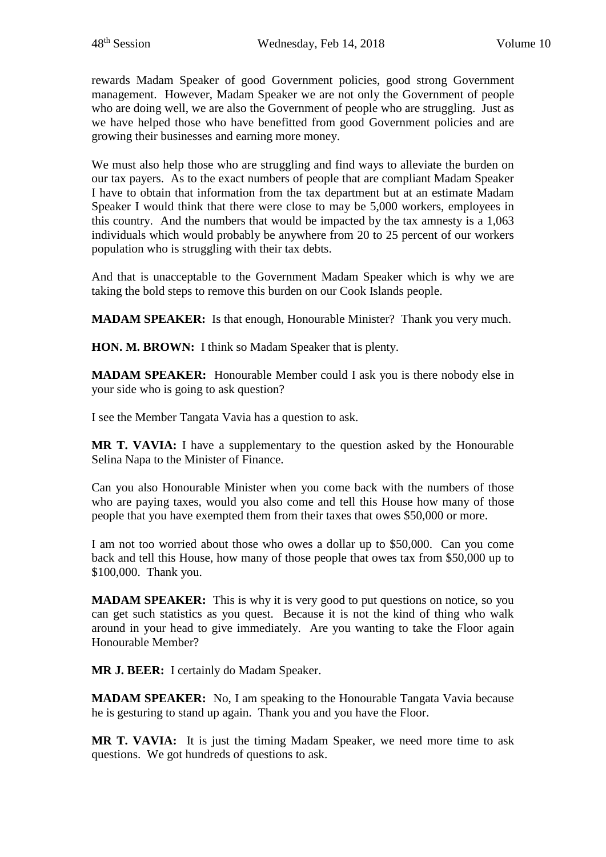rewards Madam Speaker of good Government policies, good strong Government management. However, Madam Speaker we are not only the Government of people who are doing well, we are also the Government of people who are struggling. Just as we have helped those who have benefitted from good Government policies and are growing their businesses and earning more money.

We must also help those who are struggling and find ways to alleviate the burden on our tax payers. As to the exact numbers of people that are compliant Madam Speaker I have to obtain that information from the tax department but at an estimate Madam Speaker I would think that there were close to may be 5,000 workers, employees in this country. And the numbers that would be impacted by the tax amnesty is a 1,063 individuals which would probably be anywhere from 20 to 25 percent of our workers population who is struggling with their tax debts.

And that is unacceptable to the Government Madam Speaker which is why we are taking the bold steps to remove this burden on our Cook Islands people.

**MADAM SPEAKER:** Is that enough, Honourable Minister? Thank you very much.

**HON. M. BROWN:** I think so Madam Speaker that is plenty.

**MADAM SPEAKER:** Honourable Member could I ask you is there nobody else in your side who is going to ask question?

I see the Member Tangata Vavia has a question to ask.

**MR T. VAVIA:** I have a supplementary to the question asked by the Honourable Selina Napa to the Minister of Finance.

Can you also Honourable Minister when you come back with the numbers of those who are paying taxes, would you also come and tell this House how many of those people that you have exempted them from their taxes that owes \$50,000 or more.

I am not too worried about those who owes a dollar up to \$50,000. Can you come back and tell this House, how many of those people that owes tax from \$50,000 up to \$100,000. Thank you.

**MADAM SPEAKER:** This is why it is very good to put questions on notice, so you can get such statistics as you quest. Because it is not the kind of thing who walk around in your head to give immediately. Are you wanting to take the Floor again Honourable Member?

**MR J. BEER:** I certainly do Madam Speaker.

**MADAM SPEAKER:** No, I am speaking to the Honourable Tangata Vavia because he is gesturing to stand up again. Thank you and you have the Floor.

**MR T. VAVIA:** It is just the timing Madam Speaker, we need more time to ask questions. We got hundreds of questions to ask.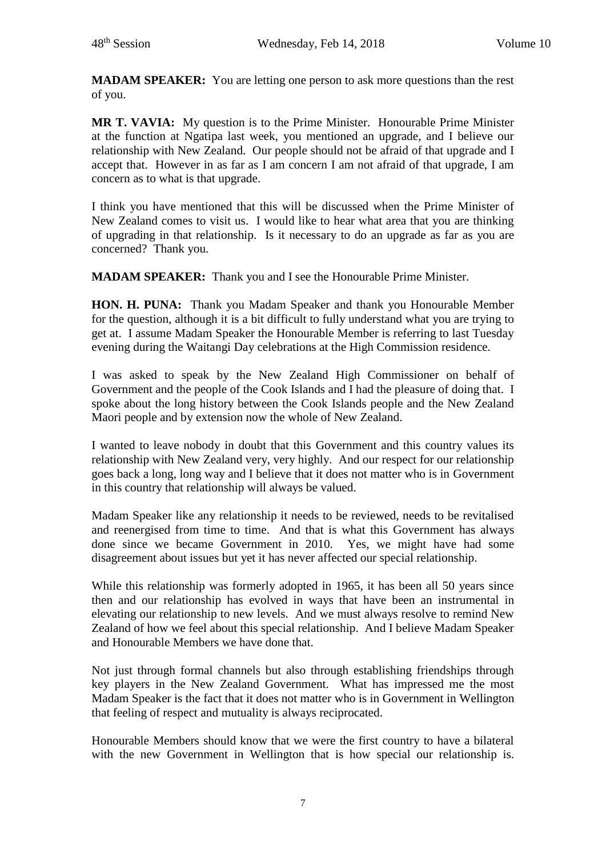**MADAM SPEAKER:** You are letting one person to ask more questions than the rest of you.

**MR T. VAVIA:** My question is to the Prime Minister. Honourable Prime Minister at the function at Ngatipa last week, you mentioned an upgrade, and I believe our relationship with New Zealand. Our people should not be afraid of that upgrade and I accept that. However in as far as I am concern I am not afraid of that upgrade, I am concern as to what is that upgrade.

I think you have mentioned that this will be discussed when the Prime Minister of New Zealand comes to visit us. I would like to hear what area that you are thinking of upgrading in that relationship. Is it necessary to do an upgrade as far as you are concerned? Thank you.

**MADAM SPEAKER:** Thank you and I see the Honourable Prime Minister.

**HON. H. PUNA:** Thank you Madam Speaker and thank you Honourable Member for the question, although it is a bit difficult to fully understand what you are trying to get at. I assume Madam Speaker the Honourable Member is referring to last Tuesday evening during the Waitangi Day celebrations at the High Commission residence.

I was asked to speak by the New Zealand High Commissioner on behalf of Government and the people of the Cook Islands and I had the pleasure of doing that. I spoke about the long history between the Cook Islands people and the New Zealand Maori people and by extension now the whole of New Zealand.

I wanted to leave nobody in doubt that this Government and this country values its relationship with New Zealand very, very highly. And our respect for our relationship goes back a long, long way and I believe that it does not matter who is in Government in this country that relationship will always be valued.

Madam Speaker like any relationship it needs to be reviewed, needs to be revitalised and reenergised from time to time. And that is what this Government has always done since we became Government in 2010. Yes, we might have had some disagreement about issues but yet it has never affected our special relationship.

While this relationship was formerly adopted in 1965, it has been all 50 years since then and our relationship has evolved in ways that have been an instrumental in elevating our relationship to new levels. And we must always resolve to remind New Zealand of how we feel about this special relationship. And I believe Madam Speaker and Honourable Members we have done that.

Not just through formal channels but also through establishing friendships through key players in the New Zealand Government. What has impressed me the most Madam Speaker is the fact that it does not matter who is in Government in Wellington that feeling of respect and mutuality is always reciprocated.

Honourable Members should know that we were the first country to have a bilateral with the new Government in Wellington that is how special our relationship is.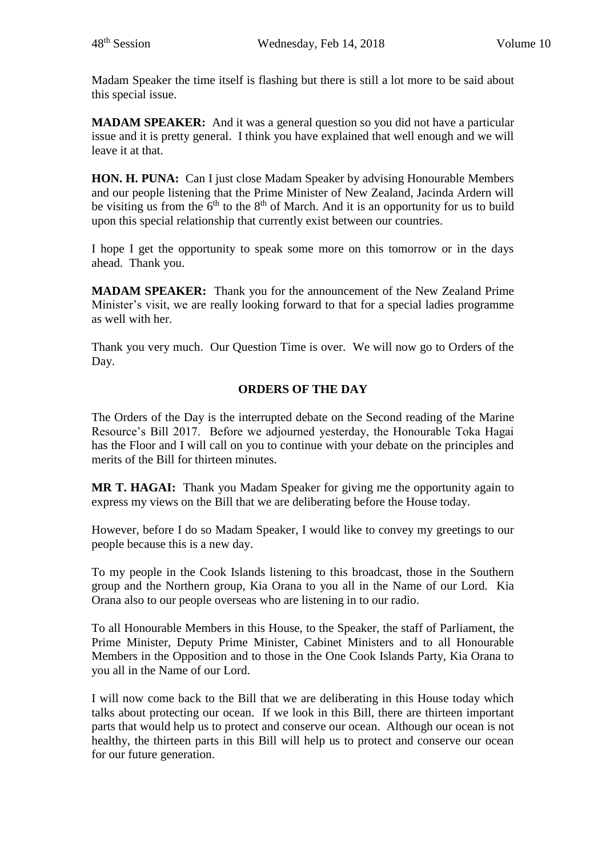Madam Speaker the time itself is flashing but there is still a lot more to be said about this special issue.

**MADAM SPEAKER:** And it was a general question so you did not have a particular issue and it is pretty general. I think you have explained that well enough and we will leave it at that.

**HON. H. PUNA:** Can I just close Madam Speaker by advising Honourable Members and our people listening that the Prime Minister of New Zealand, Jacinda Ardern will be visiting us from the  $6<sup>th</sup>$  to the  $8<sup>th</sup>$  of March. And it is an opportunity for us to build upon this special relationship that currently exist between our countries.

I hope I get the opportunity to speak some more on this tomorrow or in the days ahead. Thank you.

**MADAM SPEAKER:** Thank you for the announcement of the New Zealand Prime Minister's visit, we are really looking forward to that for a special ladies programme as well with her.

Thank you very much. Our Question Time is over. We will now go to Orders of the Day.

# **ORDERS OF THE DAY**

The Orders of the Day is the interrupted debate on the Second reading of the Marine Resource's Bill 2017. Before we adjourned yesterday, the Honourable Toka Hagai has the Floor and I will call on you to continue with your debate on the principles and merits of the Bill for thirteen minutes.

**MR T. HAGAI:** Thank you Madam Speaker for giving me the opportunity again to express my views on the Bill that we are deliberating before the House today.

However, before I do so Madam Speaker, I would like to convey my greetings to our people because this is a new day.

To my people in the Cook Islands listening to this broadcast, those in the Southern group and the Northern group, Kia Orana to you all in the Name of our Lord. Kia Orana also to our people overseas who are listening in to our radio.

To all Honourable Members in this House, to the Speaker, the staff of Parliament, the Prime Minister, Deputy Prime Minister, Cabinet Ministers and to all Honourable Members in the Opposition and to those in the One Cook Islands Party, Kia Orana to you all in the Name of our Lord.

I will now come back to the Bill that we are deliberating in this House today which talks about protecting our ocean. If we look in this Bill, there are thirteen important parts that would help us to protect and conserve our ocean. Although our ocean is not healthy, the thirteen parts in this Bill will help us to protect and conserve our ocean for our future generation.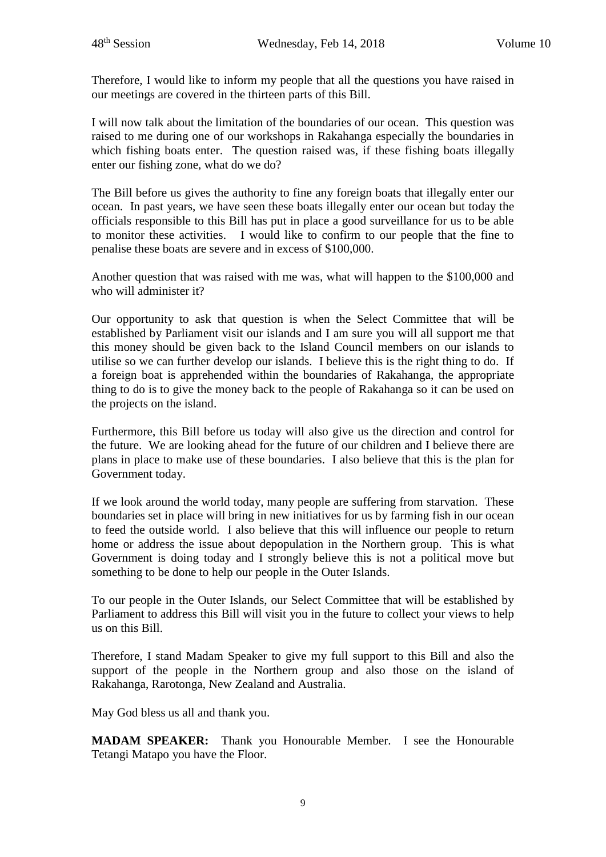Therefore, I would like to inform my people that all the questions you have raised in our meetings are covered in the thirteen parts of this Bill.

I will now talk about the limitation of the boundaries of our ocean. This question was raised to me during one of our workshops in Rakahanga especially the boundaries in which fishing boats enter. The question raised was, if these fishing boats illegally enter our fishing zone, what do we do?

The Bill before us gives the authority to fine any foreign boats that illegally enter our ocean. In past years, we have seen these boats illegally enter our ocean but today the officials responsible to this Bill has put in place a good surveillance for us to be able to monitor these activities. I would like to confirm to our people that the fine to penalise these boats are severe and in excess of \$100,000.

Another question that was raised with me was, what will happen to the \$100,000 and who will administer it?

Our opportunity to ask that question is when the Select Committee that will be established by Parliament visit our islands and I am sure you will all support me that this money should be given back to the Island Council members on our islands to utilise so we can further develop our islands. I believe this is the right thing to do. If a foreign boat is apprehended within the boundaries of Rakahanga, the appropriate thing to do is to give the money back to the people of Rakahanga so it can be used on the projects on the island.

Furthermore, this Bill before us today will also give us the direction and control for the future. We are looking ahead for the future of our children and I believe there are plans in place to make use of these boundaries. I also believe that this is the plan for Government today.

If we look around the world today, many people are suffering from starvation. These boundaries set in place will bring in new initiatives for us by farming fish in our ocean to feed the outside world. I also believe that this will influence our people to return home or address the issue about depopulation in the Northern group. This is what Government is doing today and I strongly believe this is not a political move but something to be done to help our people in the Outer Islands.

To our people in the Outer Islands, our Select Committee that will be established by Parliament to address this Bill will visit you in the future to collect your views to help us on this Bill.

Therefore, I stand Madam Speaker to give my full support to this Bill and also the support of the people in the Northern group and also those on the island of Rakahanga, Rarotonga, New Zealand and Australia.

May God bless us all and thank you.

**MADAM SPEAKER:** Thank you Honourable Member. I see the Honourable Tetangi Matapo you have the Floor.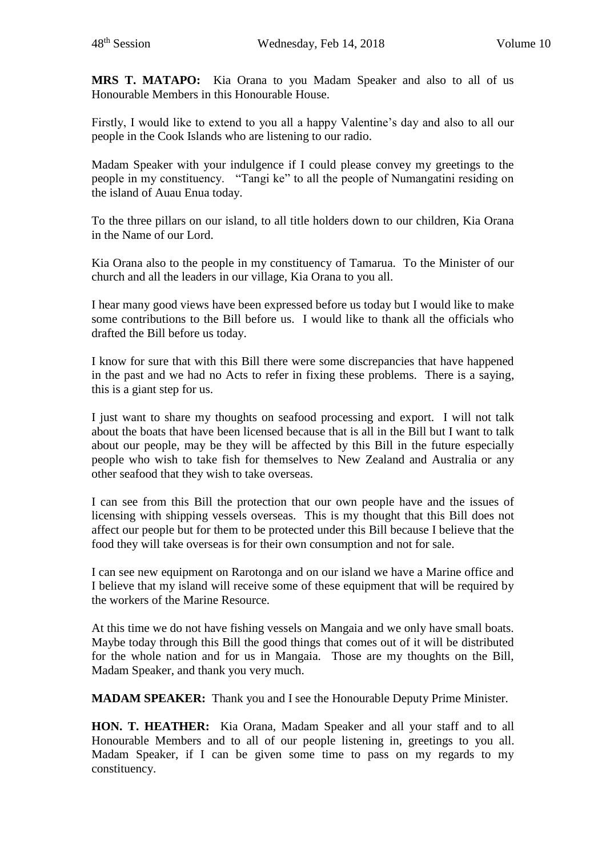**MRS T. MATAPO:** Kia Orana to you Madam Speaker and also to all of us Honourable Members in this Honourable House.

Firstly, I would like to extend to you all a happy Valentine's day and also to all our people in the Cook Islands who are listening to our radio.

Madam Speaker with your indulgence if I could please convey my greetings to the people in my constituency. "Tangi ke" to all the people of Numangatini residing on the island of Auau Enua today.

To the three pillars on our island, to all title holders down to our children, Kia Orana in the Name of our Lord.

Kia Orana also to the people in my constituency of Tamarua. To the Minister of our church and all the leaders in our village, Kia Orana to you all.

I hear many good views have been expressed before us today but I would like to make some contributions to the Bill before us. I would like to thank all the officials who drafted the Bill before us today.

I know for sure that with this Bill there were some discrepancies that have happened in the past and we had no Acts to refer in fixing these problems. There is a saying, this is a giant step for us.

I just want to share my thoughts on seafood processing and export. I will not talk about the boats that have been licensed because that is all in the Bill but I want to talk about our people, may be they will be affected by this Bill in the future especially people who wish to take fish for themselves to New Zealand and Australia or any other seafood that they wish to take overseas.

I can see from this Bill the protection that our own people have and the issues of licensing with shipping vessels overseas. This is my thought that this Bill does not affect our people but for them to be protected under this Bill because I believe that the food they will take overseas is for their own consumption and not for sale.

I can see new equipment on Rarotonga and on our island we have a Marine office and I believe that my island will receive some of these equipment that will be required by the workers of the Marine Resource.

At this time we do not have fishing vessels on Mangaia and we only have small boats. Maybe today through this Bill the good things that comes out of it will be distributed for the whole nation and for us in Mangaia. Those are my thoughts on the Bill, Madam Speaker, and thank you very much.

**MADAM SPEAKER:** Thank you and I see the Honourable Deputy Prime Minister.

**HON. T. HEATHER:** Kia Orana, Madam Speaker and all your staff and to all Honourable Members and to all of our people listening in, greetings to you all. Madam Speaker, if I can be given some time to pass on my regards to my constituency.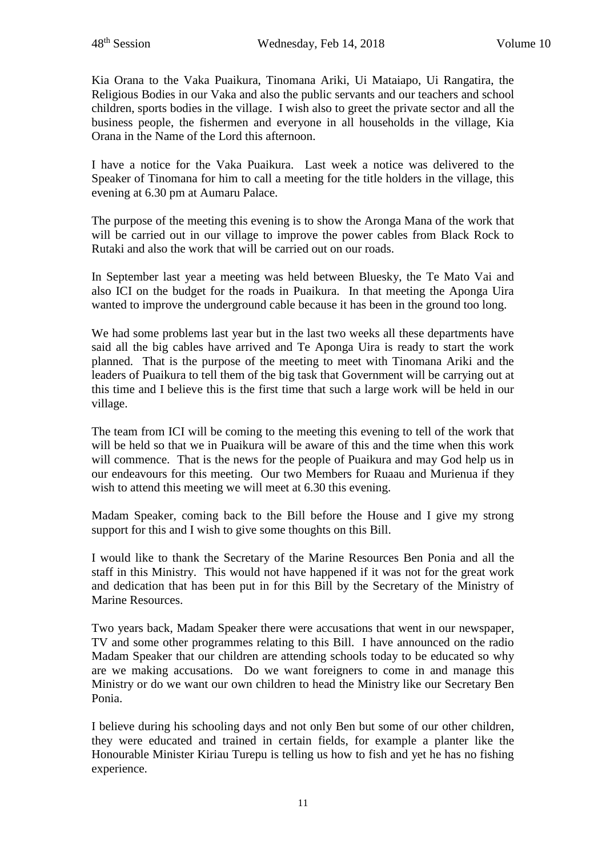Kia Orana to the Vaka Puaikura, Tinomana Ariki, Ui Mataiapo, Ui Rangatira, the Religious Bodies in our Vaka and also the public servants and our teachers and school children, sports bodies in the village. I wish also to greet the private sector and all the business people, the fishermen and everyone in all households in the village, Kia Orana in the Name of the Lord this afternoon.

I have a notice for the Vaka Puaikura. Last week a notice was delivered to the Speaker of Tinomana for him to call a meeting for the title holders in the village, this evening at 6.30 pm at Aumaru Palace.

The purpose of the meeting this evening is to show the Aronga Mana of the work that will be carried out in our village to improve the power cables from Black Rock to Rutaki and also the work that will be carried out on our roads.

In September last year a meeting was held between Bluesky, the Te Mato Vai and also ICI on the budget for the roads in Puaikura. In that meeting the Aponga Uira wanted to improve the underground cable because it has been in the ground too long.

We had some problems last year but in the last two weeks all these departments have said all the big cables have arrived and Te Aponga Uira is ready to start the work planned. That is the purpose of the meeting to meet with Tinomana Ariki and the leaders of Puaikura to tell them of the big task that Government will be carrying out at this time and I believe this is the first time that such a large work will be held in our village.

The team from ICI will be coming to the meeting this evening to tell of the work that will be held so that we in Puaikura will be aware of this and the time when this work will commence. That is the news for the people of Puaikura and may God help us in our endeavours for this meeting. Our two Members for Ruaau and Murienua if they wish to attend this meeting we will meet at 6.30 this evening.

Madam Speaker, coming back to the Bill before the House and I give my strong support for this and I wish to give some thoughts on this Bill.

I would like to thank the Secretary of the Marine Resources Ben Ponia and all the staff in this Ministry. This would not have happened if it was not for the great work and dedication that has been put in for this Bill by the Secretary of the Ministry of Marine Resources.

Two years back, Madam Speaker there were accusations that went in our newspaper, TV and some other programmes relating to this Bill. I have announced on the radio Madam Speaker that our children are attending schools today to be educated so why are we making accusations. Do we want foreigners to come in and manage this Ministry or do we want our own children to head the Ministry like our Secretary Ben Ponia.

I believe during his schooling days and not only Ben but some of our other children, they were educated and trained in certain fields, for example a planter like the Honourable Minister Kiriau Turepu is telling us how to fish and yet he has no fishing experience.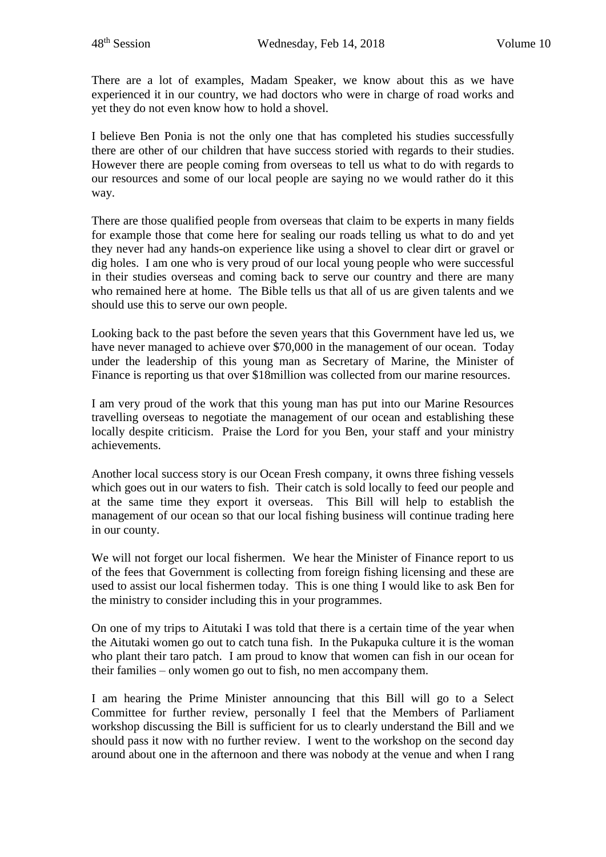There are a lot of examples, Madam Speaker, we know about this as we have experienced it in our country, we had doctors who were in charge of road works and yet they do not even know how to hold a shovel.

I believe Ben Ponia is not the only one that has completed his studies successfully there are other of our children that have success storied with regards to their studies. However there are people coming from overseas to tell us what to do with regards to our resources and some of our local people are saying no we would rather do it this way.

There are those qualified people from overseas that claim to be experts in many fields for example those that come here for sealing our roads telling us what to do and yet they never had any hands-on experience like using a shovel to clear dirt or gravel or dig holes. I am one who is very proud of our local young people who were successful in their studies overseas and coming back to serve our country and there are many who remained here at home. The Bible tells us that all of us are given talents and we should use this to serve our own people.

Looking back to the past before the seven years that this Government have led us, we have never managed to achieve over \$70,000 in the management of our ocean. Today under the leadership of this young man as Secretary of Marine, the Minister of Finance is reporting us that over \$18million was collected from our marine resources.

I am very proud of the work that this young man has put into our Marine Resources travelling overseas to negotiate the management of our ocean and establishing these locally despite criticism. Praise the Lord for you Ben, your staff and your ministry achievements.

Another local success story is our Ocean Fresh company, it owns three fishing vessels which goes out in our waters to fish. Their catch is sold locally to feed our people and at the same time they export it overseas. This Bill will help to establish the management of our ocean so that our local fishing business will continue trading here in our county.

We will not forget our local fishermen. We hear the Minister of Finance report to us of the fees that Government is collecting from foreign fishing licensing and these are used to assist our local fishermen today. This is one thing I would like to ask Ben for the ministry to consider including this in your programmes.

On one of my trips to Aitutaki I was told that there is a certain time of the year when the Aitutaki women go out to catch tuna fish. In the Pukapuka culture it is the woman who plant their taro patch. I am proud to know that women can fish in our ocean for their families – only women go out to fish, no men accompany them.

I am hearing the Prime Minister announcing that this Bill will go to a Select Committee for further review, personally I feel that the Members of Parliament workshop discussing the Bill is sufficient for us to clearly understand the Bill and we should pass it now with no further review. I went to the workshop on the second day around about one in the afternoon and there was nobody at the venue and when I rang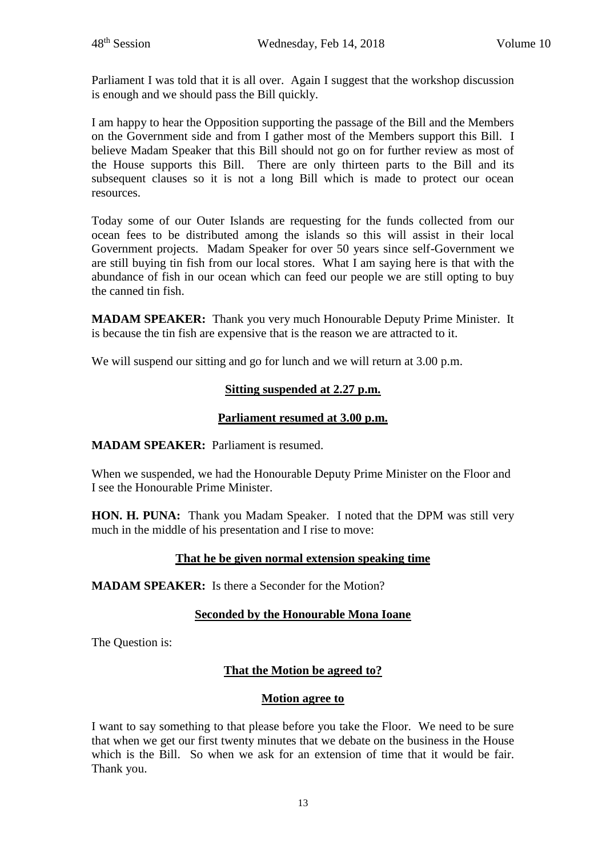Parliament I was told that it is all over. Again I suggest that the workshop discussion is enough and we should pass the Bill quickly.

I am happy to hear the Opposition supporting the passage of the Bill and the Members on the Government side and from I gather most of the Members support this Bill. I believe Madam Speaker that this Bill should not go on for further review as most of the House supports this Bill. There are only thirteen parts to the Bill and its subsequent clauses so it is not a long Bill which is made to protect our ocean resources.

Today some of our Outer Islands are requesting for the funds collected from our ocean fees to be distributed among the islands so this will assist in their local Government projects. Madam Speaker for over 50 years since self-Government we are still buying tin fish from our local stores. What I am saying here is that with the abundance of fish in our ocean which can feed our people we are still opting to buy the canned tin fish.

**MADAM SPEAKER:** Thank you very much Honourable Deputy Prime Minister. It is because the tin fish are expensive that is the reason we are attracted to it.

We will suspend our sitting and go for lunch and we will return at 3.00 p.m.

# **Sitting suspended at 2.27 p.m.**

# **Parliament resumed at 3.00 p.m.**

**MADAM SPEAKER:** Parliament is resumed.

When we suspended, we had the Honourable Deputy Prime Minister on the Floor and I see the Honourable Prime Minister.

**HON. H. PUNA:** Thank you Madam Speaker. I noted that the DPM was still very much in the middle of his presentation and I rise to move:

# **That he be given normal extension speaking time**

**MADAM SPEAKER:** Is there a Seconder for the Motion?

# **Seconded by the Honourable Mona Ioane**

The Question is:

# **That the Motion be agreed to?**

# **Motion agree to**

I want to say something to that please before you take the Floor. We need to be sure that when we get our first twenty minutes that we debate on the business in the House which is the Bill. So when we ask for an extension of time that it would be fair. Thank you.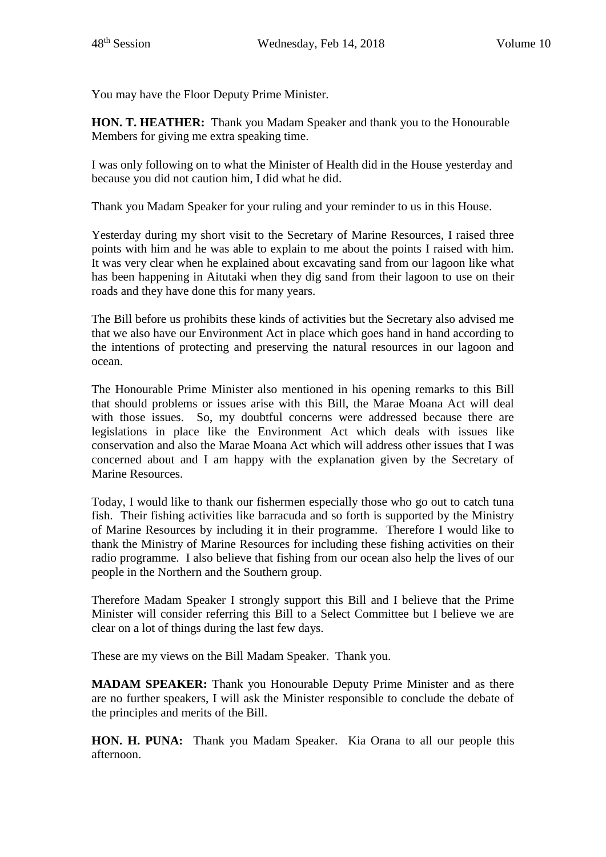You may have the Floor Deputy Prime Minister.

**HON. T. HEATHER:** Thank you Madam Speaker and thank you to the Honourable Members for giving me extra speaking time.

I was only following on to what the Minister of Health did in the House yesterday and because you did not caution him, I did what he did.

Thank you Madam Speaker for your ruling and your reminder to us in this House.

Yesterday during my short visit to the Secretary of Marine Resources, I raised three points with him and he was able to explain to me about the points I raised with him. It was very clear when he explained about excavating sand from our lagoon like what has been happening in Aitutaki when they dig sand from their lagoon to use on their roads and they have done this for many years.

The Bill before us prohibits these kinds of activities but the Secretary also advised me that we also have our Environment Act in place which goes hand in hand according to the intentions of protecting and preserving the natural resources in our lagoon and ocean.

The Honourable Prime Minister also mentioned in his opening remarks to this Bill that should problems or issues arise with this Bill, the Marae Moana Act will deal with those issues. So, my doubtful concerns were addressed because there are legislations in place like the Environment Act which deals with issues like conservation and also the Marae Moana Act which will address other issues that I was concerned about and I am happy with the explanation given by the Secretary of Marine Resources.

Today, I would like to thank our fishermen especially those who go out to catch tuna fish. Their fishing activities like barracuda and so forth is supported by the Ministry of Marine Resources by including it in their programme. Therefore I would like to thank the Ministry of Marine Resources for including these fishing activities on their radio programme. I also believe that fishing from our ocean also help the lives of our people in the Northern and the Southern group.

Therefore Madam Speaker I strongly support this Bill and I believe that the Prime Minister will consider referring this Bill to a Select Committee but I believe we are clear on a lot of things during the last few days.

These are my views on the Bill Madam Speaker. Thank you.

**MADAM SPEAKER:** Thank you Honourable Deputy Prime Minister and as there are no further speakers, I will ask the Minister responsible to conclude the debate of the principles and merits of the Bill.

**HON. H. PUNA:** Thank you Madam Speaker. Kia Orana to all our people this afternoon.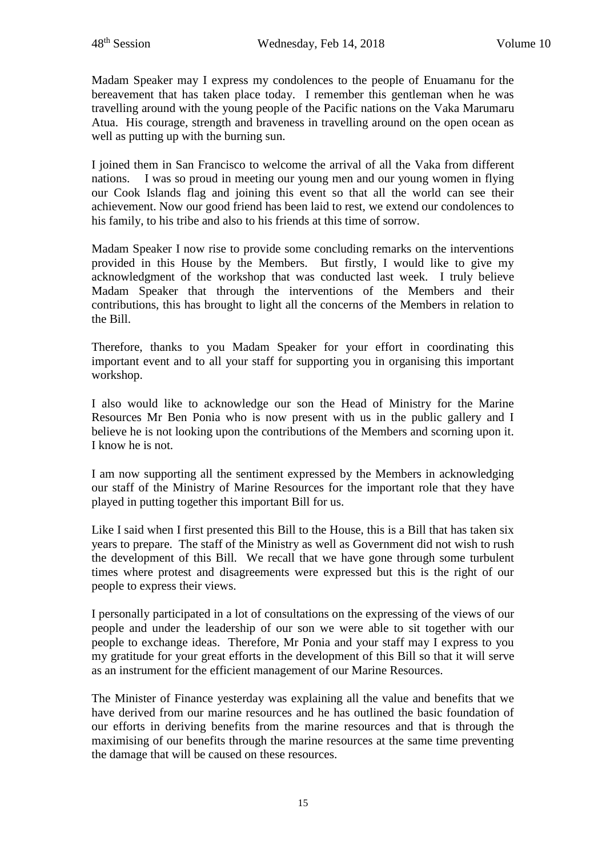Madam Speaker may I express my condolences to the people of Enuamanu for the bereavement that has taken place today. I remember this gentleman when he was travelling around with the young people of the Pacific nations on the Vaka Marumaru Atua. His courage, strength and braveness in travelling around on the open ocean as well as putting up with the burning sun.

I joined them in San Francisco to welcome the arrival of all the Vaka from different nations. I was so proud in meeting our young men and our young women in flying our Cook Islands flag and joining this event so that all the world can see their achievement. Now our good friend has been laid to rest, we extend our condolences to his family, to his tribe and also to his friends at this time of sorrow.

Madam Speaker I now rise to provide some concluding remarks on the interventions provided in this House by the Members. But firstly, I would like to give my acknowledgment of the workshop that was conducted last week. I truly believe Madam Speaker that through the interventions of the Members and their contributions, this has brought to light all the concerns of the Members in relation to the Bill.

Therefore, thanks to you Madam Speaker for your effort in coordinating this important event and to all your staff for supporting you in organising this important workshop.

I also would like to acknowledge our son the Head of Ministry for the Marine Resources Mr Ben Ponia who is now present with us in the public gallery and I believe he is not looking upon the contributions of the Members and scorning upon it. I know he is not.

I am now supporting all the sentiment expressed by the Members in acknowledging our staff of the Ministry of Marine Resources for the important role that they have played in putting together this important Bill for us.

Like I said when I first presented this Bill to the House, this is a Bill that has taken six years to prepare. The staff of the Ministry as well as Government did not wish to rush the development of this Bill. We recall that we have gone through some turbulent times where protest and disagreements were expressed but this is the right of our people to express their views.

I personally participated in a lot of consultations on the expressing of the views of our people and under the leadership of our son we were able to sit together with our people to exchange ideas. Therefore, Mr Ponia and your staff may I express to you my gratitude for your great efforts in the development of this Bill so that it will serve as an instrument for the efficient management of our Marine Resources.

The Minister of Finance yesterday was explaining all the value and benefits that we have derived from our marine resources and he has outlined the basic foundation of our efforts in deriving benefits from the marine resources and that is through the maximising of our benefits through the marine resources at the same time preventing the damage that will be caused on these resources.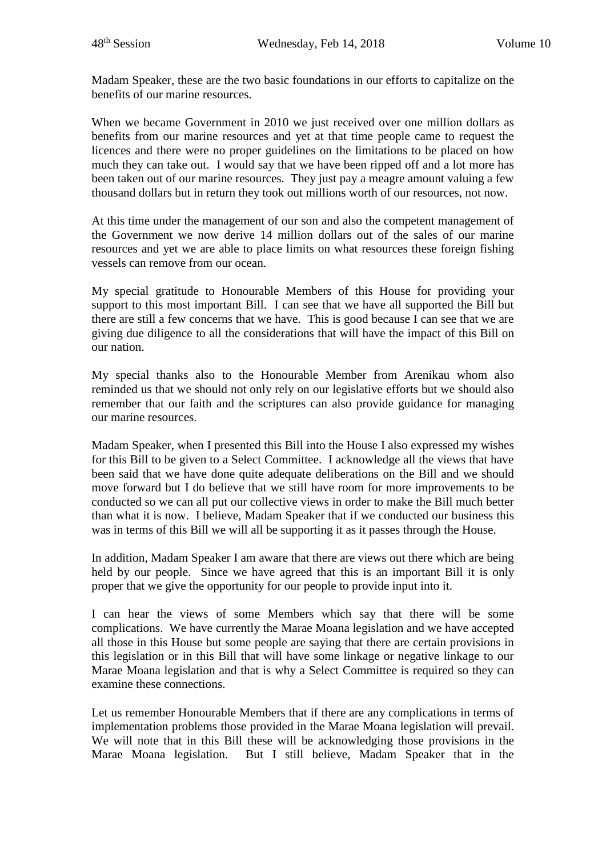Madam Speaker, these are the two basic foundations in our efforts to capitalize on the benefits of our marine resources.

When we became Government in 2010 we just received over one million dollars as benefits from our marine resources and yet at that time people came to request the licences and there were no proper guidelines on the limitations to be placed on how much they can take out. I would say that we have been ripped off and a lot more has been taken out of our marine resources. They just pay a meagre amount valuing a few thousand dollars but in return they took out millions worth of our resources, not now.

At this time under the management of our son and also the competent management of the Government we now derive 14 million dollars out of the sales of our marine resources and yet we are able to place limits on what resources these foreign fishing vessels can remove from our ocean.

My special gratitude to Honourable Members of this House for providing your support to this most important Bill. I can see that we have all supported the Bill but there are still a few concerns that we have. This is good because I can see that we are giving due diligence to all the considerations that will have the impact of this Bill on our nation.

My special thanks also to the Honourable Member from Arenikau whom also reminded us that we should not only rely on our legislative efforts but we should also remember that our faith and the scriptures can also provide guidance for managing our marine resources.

Madam Speaker, when I presented this Bill into the House I also expressed my wishes for this Bill to be given to a Select Committee. I acknowledge all the views that have been said that we have done quite adequate deliberations on the Bill and we should move forward but I do believe that we still have room for more improvements to be conducted so we can all put our collective views in order to make the Bill much better than what it is now. I believe, Madam Speaker that if we conducted our business this was in terms of this Bill we will all be supporting it as it passes through the House.

In addition, Madam Speaker I am aware that there are views out there which are being held by our people. Since we have agreed that this is an important Bill it is only proper that we give the opportunity for our people to provide input into it.

I can hear the views of some Members which say that there will be some complications. We have currently the Marae Moana legislation and we have accepted all those in this House but some people are saying that there are certain provisions in this legislation or in this Bill that will have some linkage or negative linkage to our Marae Moana legislation and that is why a Select Committee is required so they can examine these connections.

Let us remember Honourable Members that if there are any complications in terms of implementation problems those provided in the Marae Moana legislation will prevail. We will note that in this Bill these will be acknowledging those provisions in the Marae Moana legislation. But I still believe, Madam Speaker that in the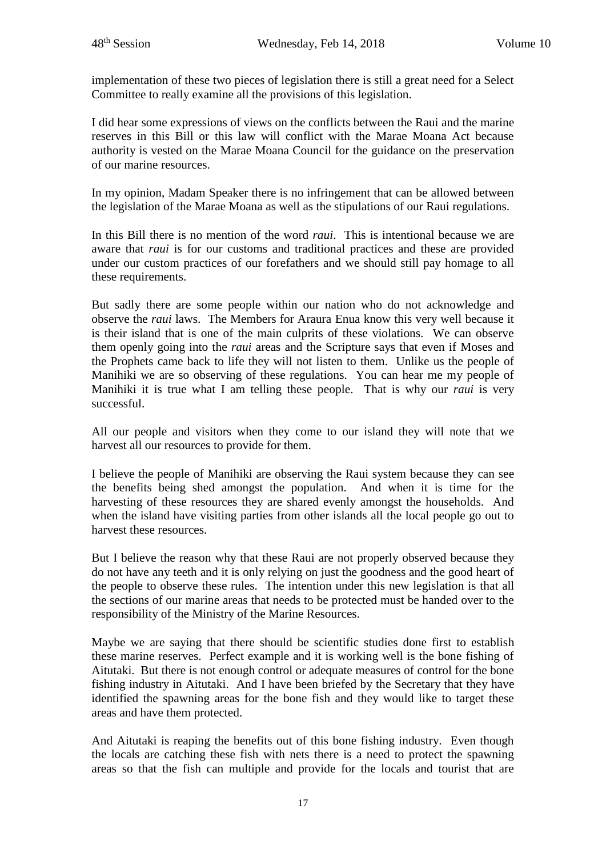implementation of these two pieces of legislation there is still a great need for a Select Committee to really examine all the provisions of this legislation.

I did hear some expressions of views on the conflicts between the Raui and the marine reserves in this Bill or this law will conflict with the Marae Moana Act because authority is vested on the Marae Moana Council for the guidance on the preservation of our marine resources.

In my opinion, Madam Speaker there is no infringement that can be allowed between the legislation of the Marae Moana as well as the stipulations of our Raui regulations.

In this Bill there is no mention of the word *raui*. This is intentional because we are aware that *raui* is for our customs and traditional practices and these are provided under our custom practices of our forefathers and we should still pay homage to all these requirements.

But sadly there are some people within our nation who do not acknowledge and observe the *raui* laws. The Members for Araura Enua know this very well because it is their island that is one of the main culprits of these violations. We can observe them openly going into the *raui* areas and the Scripture says that even if Moses and the Prophets came back to life they will not listen to them. Unlike us the people of Manihiki we are so observing of these regulations. You can hear me my people of Manihiki it is true what I am telling these people. That is why our *raui* is very successful.

All our people and visitors when they come to our island they will note that we harvest all our resources to provide for them.

I believe the people of Manihiki are observing the Raui system because they can see the benefits being shed amongst the population. And when it is time for the harvesting of these resources they are shared evenly amongst the households. And when the island have visiting parties from other islands all the local people go out to harvest these resources.

But I believe the reason why that these Raui are not properly observed because they do not have any teeth and it is only relying on just the goodness and the good heart of the people to observe these rules. The intention under this new legislation is that all the sections of our marine areas that needs to be protected must be handed over to the responsibility of the Ministry of the Marine Resources.

Maybe we are saying that there should be scientific studies done first to establish these marine reserves. Perfect example and it is working well is the bone fishing of Aitutaki. But there is not enough control or adequate measures of control for the bone fishing industry in Aitutaki. And I have been briefed by the Secretary that they have identified the spawning areas for the bone fish and they would like to target these areas and have them protected.

And Aitutaki is reaping the benefits out of this bone fishing industry. Even though the locals are catching these fish with nets there is a need to protect the spawning areas so that the fish can multiple and provide for the locals and tourist that are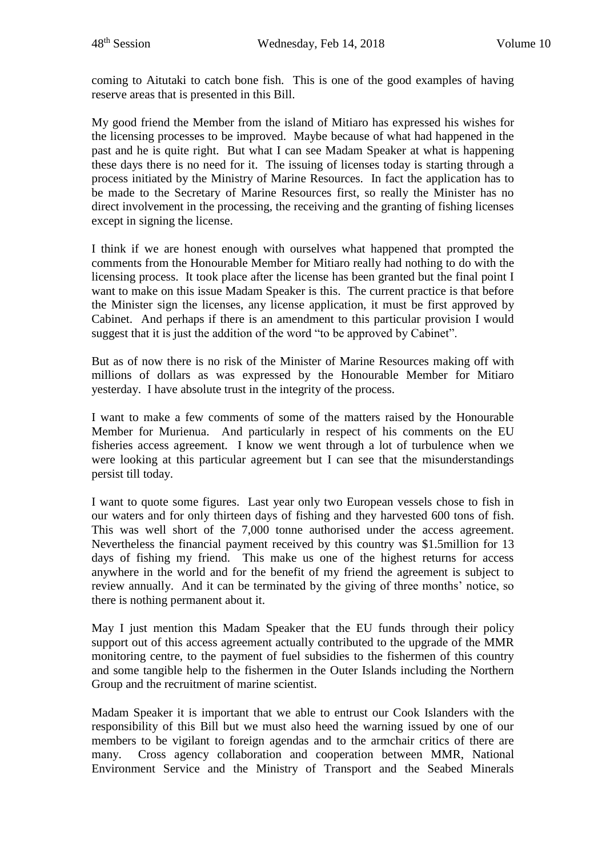coming to Aitutaki to catch bone fish. This is one of the good examples of having reserve areas that is presented in this Bill.

My good friend the Member from the island of Mitiaro has expressed his wishes for the licensing processes to be improved. Maybe because of what had happened in the past and he is quite right. But what I can see Madam Speaker at what is happening these days there is no need for it. The issuing of licenses today is starting through a process initiated by the Ministry of Marine Resources. In fact the application has to be made to the Secretary of Marine Resources first, so really the Minister has no direct involvement in the processing, the receiving and the granting of fishing licenses except in signing the license.

I think if we are honest enough with ourselves what happened that prompted the comments from the Honourable Member for Mitiaro really had nothing to do with the licensing process. It took place after the license has been granted but the final point I want to make on this issue Madam Speaker is this. The current practice is that before the Minister sign the licenses, any license application, it must be first approved by Cabinet. And perhaps if there is an amendment to this particular provision I would suggest that it is just the addition of the word "to be approved by Cabinet".

But as of now there is no risk of the Minister of Marine Resources making off with millions of dollars as was expressed by the Honourable Member for Mitiaro yesterday. I have absolute trust in the integrity of the process.

I want to make a few comments of some of the matters raised by the Honourable Member for Murienua. And particularly in respect of his comments on the EU fisheries access agreement. I know we went through a lot of turbulence when we were looking at this particular agreement but I can see that the misunderstandings persist till today.

I want to quote some figures. Last year only two European vessels chose to fish in our waters and for only thirteen days of fishing and they harvested 600 tons of fish. This was well short of the 7,000 tonne authorised under the access agreement. Nevertheless the financial payment received by this country was \$1.5million for 13 days of fishing my friend. This make us one of the highest returns for access anywhere in the world and for the benefit of my friend the agreement is subject to review annually. And it can be terminated by the giving of three months' notice, so there is nothing permanent about it.

May I just mention this Madam Speaker that the EU funds through their policy support out of this access agreement actually contributed to the upgrade of the MMR monitoring centre, to the payment of fuel subsidies to the fishermen of this country and some tangible help to the fishermen in the Outer Islands including the Northern Group and the recruitment of marine scientist.

Madam Speaker it is important that we able to entrust our Cook Islanders with the responsibility of this Bill but we must also heed the warning issued by one of our members to be vigilant to foreign agendas and to the armchair critics of there are many. Cross agency collaboration and cooperation between MMR, National Environment Service and the Ministry of Transport and the Seabed Minerals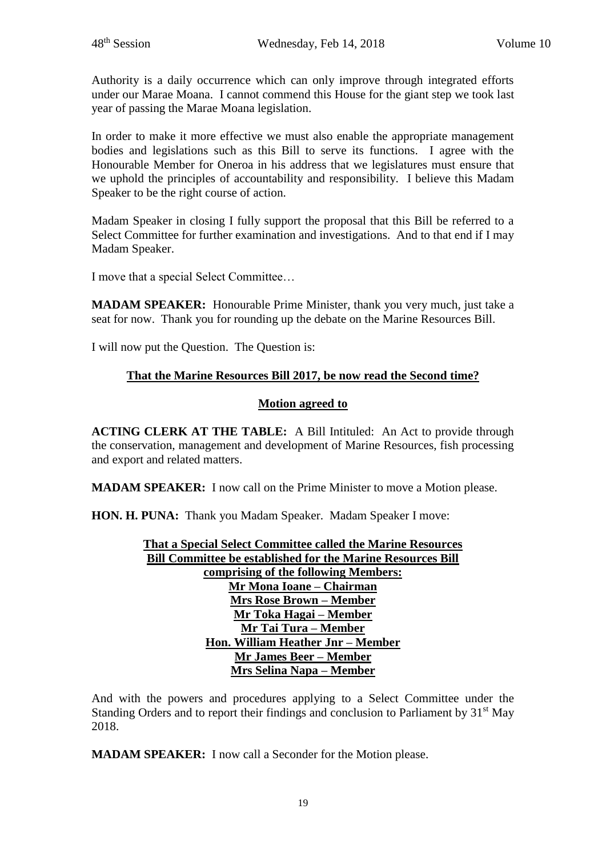Authority is a daily occurrence which can only improve through integrated efforts under our Marae Moana. I cannot commend this House for the giant step we took last year of passing the Marae Moana legislation.

In order to make it more effective we must also enable the appropriate management bodies and legislations such as this Bill to serve its functions. I agree with the Honourable Member for Oneroa in his address that we legislatures must ensure that we uphold the principles of accountability and responsibility. I believe this Madam Speaker to be the right course of action.

Madam Speaker in closing I fully support the proposal that this Bill be referred to a Select Committee for further examination and investigations. And to that end if I may Madam Speaker.

I move that a special Select Committee…

**MADAM SPEAKER:** Honourable Prime Minister, thank you very much, just take a seat for now. Thank you for rounding up the debate on the Marine Resources Bill.

I will now put the Question. The Question is:

# **That the Marine Resources Bill 2017, be now read the Second time?**

### **Motion agreed to**

**ACTING CLERK AT THE TABLE:** A Bill Intituled: An Act to provide through the conservation, management and development of Marine Resources, fish processing and export and related matters.

**MADAM SPEAKER:** I now call on the Prime Minister to move a Motion please.

**HON. H. PUNA:** Thank you Madam Speaker. Madam Speaker I move:

**That a Special Select Committee called the Marine Resources Bill Committee be established for the Marine Resources Bill comprising of the following Members: Mr Mona Ioane – Chairman Mrs Rose Brown – Member Mr Toka Hagai – Member Mr Tai Tura – Member Hon. William Heather Jnr – Member Mr James Beer – Member Mrs Selina Napa – Member** 

And with the powers and procedures applying to a Select Committee under the Standing Orders and to report their findings and conclusion to Parliament by  $31<sup>st</sup>$  May 2018.

**MADAM SPEAKER:** I now call a Seconder for the Motion please.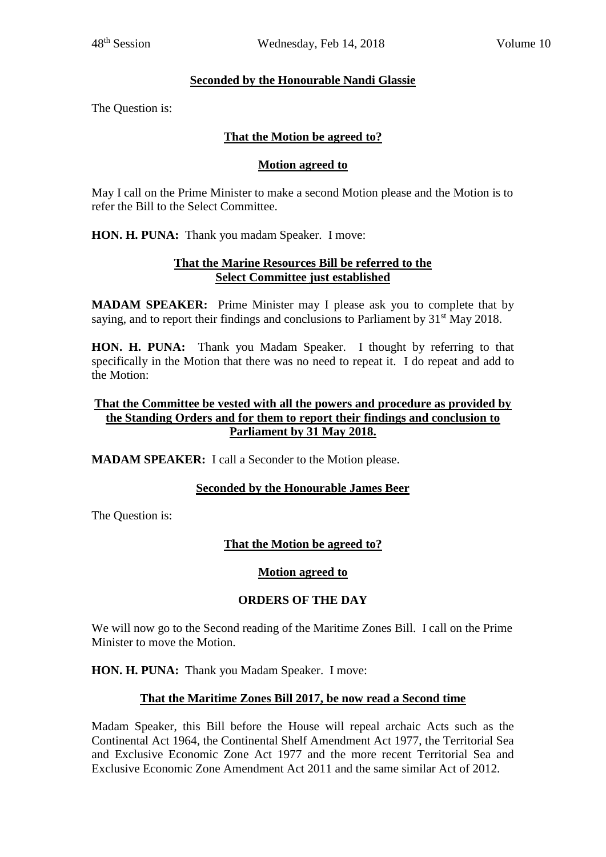# **Seconded by the Honourable Nandi Glassie**

The Question is:

# **That the Motion be agreed to?**

# **Motion agreed to**

May I call on the Prime Minister to make a second Motion please and the Motion is to refer the Bill to the Select Committee.

**HON. H. PUNA:** Thank you madam Speaker. I move:

### **That the Marine Resources Bill be referred to the Select Committee just established**

**MADAM SPEAKER:** Prime Minister may I please ask you to complete that by saying, and to report their findings and conclusions to Parliament by  $31<sup>st</sup>$  May 2018.

**HON. H. PUNA:** Thank you Madam Speaker. I thought by referring to that specifically in the Motion that there was no need to repeat it. I do repeat and add to the Motion:

# **That the Committee be vested with all the powers and procedure as provided by the Standing Orders and for them to report their findings and conclusion to Parliament by 31 May 2018.**

**MADAM SPEAKER:** I call a Seconder to the Motion please.

# **Seconded by the Honourable James Beer**

The Question is:

# **That the Motion be agreed to?**

#### **Motion agreed to**

# **ORDERS OF THE DAY**

We will now go to the Second reading of the Maritime Zones Bill. I call on the Prime Minister to move the Motion.

**HON. H. PUNA:** Thank you Madam Speaker. I move:

# **That the Maritime Zones Bill 2017, be now read a Second time**

Madam Speaker, this Bill before the House will repeal archaic Acts such as the Continental Act 1964, the Continental Shelf Amendment Act 1977, the Territorial Sea and Exclusive Economic Zone Act 1977 and the more recent Territorial Sea and Exclusive Economic Zone Amendment Act 2011 and the same similar Act of 2012.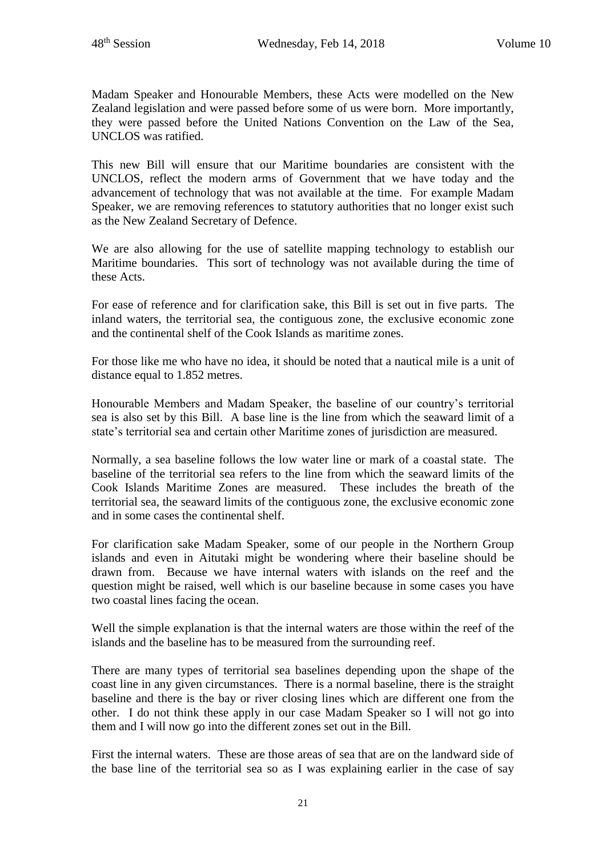Madam Speaker and Honourable Members, these Acts were modelled on the New Zealand legislation and were passed before some of us were born. More importantly, they were passed before the United Nations Convention on the Law of the Sea, UNCLOS was ratified.

This new Bill will ensure that our Maritime boundaries are consistent with the UNCLOS, reflect the modern arms of Government that we have today and the advancement of technology that was not available at the time. For example Madam Speaker, we are removing references to statutory authorities that no longer exist such as the New Zealand Secretary of Defence.

We are also allowing for the use of satellite mapping technology to establish our Maritime boundaries. This sort of technology was not available during the time of these Acts.

For ease of reference and for clarification sake, this Bill is set out in five parts. The inland waters, the territorial sea, the contiguous zone, the exclusive economic zone and the continental shelf of the Cook Islands as maritime zones.

For those like me who have no idea, it should be noted that a nautical mile is a unit of distance equal to 1.852 metres.

Honourable Members and Madam Speaker, the baseline of our country's territorial sea is also set by this Bill. A base line is the line from which the seaward limit of a state's territorial sea and certain other Maritime zones of jurisdiction are measured.

Normally, a sea baseline follows the low water line or mark of a coastal state. The baseline of the territorial sea refers to the line from which the seaward limits of the Cook Islands Maritime Zones are measured. These includes the breath of the territorial sea, the seaward limits of the contiguous zone, the exclusive economic zone and in some cases the continental shelf.

For clarification sake Madam Speaker, some of our people in the Northern Group islands and even in Aitutaki might be wondering where their baseline should be drawn from. Because we have internal waters with islands on the reef and the question might be raised, well which is our baseline because in some cases you have two coastal lines facing the ocean.

Well the simple explanation is that the internal waters are those within the reef of the islands and the baseline has to be measured from the surrounding reef.

There are many types of territorial sea baselines depending upon the shape of the coast line in any given circumstances. There is a normal baseline, there is the straight baseline and there is the bay or river closing lines which are different one from the other. I do not think these apply in our case Madam Speaker so I will not go into them and I will now go into the different zones set out in the Bill.

First the internal waters. These are those areas of sea that are on the landward side of the base line of the territorial sea so as I was explaining earlier in the case of say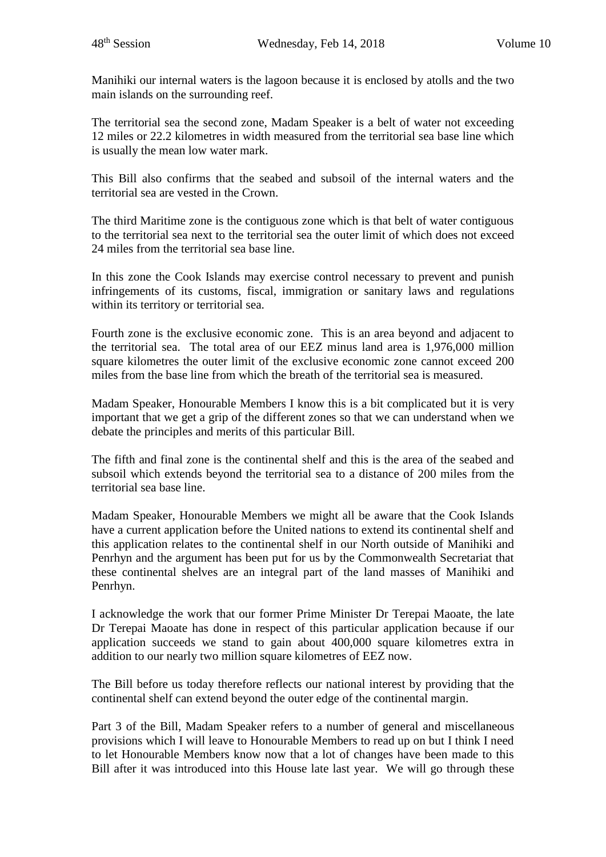Manihiki our internal waters is the lagoon because it is enclosed by atolls and the two main islands on the surrounding reef.

The territorial sea the second zone, Madam Speaker is a belt of water not exceeding 12 miles or 22.2 kilometres in width measured from the territorial sea base line which is usually the mean low water mark.

This Bill also confirms that the seabed and subsoil of the internal waters and the territorial sea are vested in the Crown.

The third Maritime zone is the contiguous zone which is that belt of water contiguous to the territorial sea next to the territorial sea the outer limit of which does not exceed 24 miles from the territorial sea base line.

In this zone the Cook Islands may exercise control necessary to prevent and punish infringements of its customs, fiscal, immigration or sanitary laws and regulations within its territory or territorial sea.

Fourth zone is the exclusive economic zone. This is an area beyond and adjacent to the territorial sea. The total area of our EEZ minus land area is 1,976,000 million square kilometres the outer limit of the exclusive economic zone cannot exceed 200 miles from the base line from which the breath of the territorial sea is measured.

Madam Speaker, Honourable Members I know this is a bit complicated but it is very important that we get a grip of the different zones so that we can understand when we debate the principles and merits of this particular Bill.

The fifth and final zone is the continental shelf and this is the area of the seabed and subsoil which extends beyond the territorial sea to a distance of 200 miles from the territorial sea base line.

Madam Speaker, Honourable Members we might all be aware that the Cook Islands have a current application before the United nations to extend its continental shelf and this application relates to the continental shelf in our North outside of Manihiki and Penrhyn and the argument has been put for us by the Commonwealth Secretariat that these continental shelves are an integral part of the land masses of Manihiki and Penrhyn.

I acknowledge the work that our former Prime Minister Dr Terepai Maoate, the late Dr Terepai Maoate has done in respect of this particular application because if our application succeeds we stand to gain about 400,000 square kilometres extra in addition to our nearly two million square kilometres of EEZ now.

The Bill before us today therefore reflects our national interest by providing that the continental shelf can extend beyond the outer edge of the continental margin.

Part 3 of the Bill, Madam Speaker refers to a number of general and miscellaneous provisions which I will leave to Honourable Members to read up on but I think I need to let Honourable Members know now that a lot of changes have been made to this Bill after it was introduced into this House late last year. We will go through these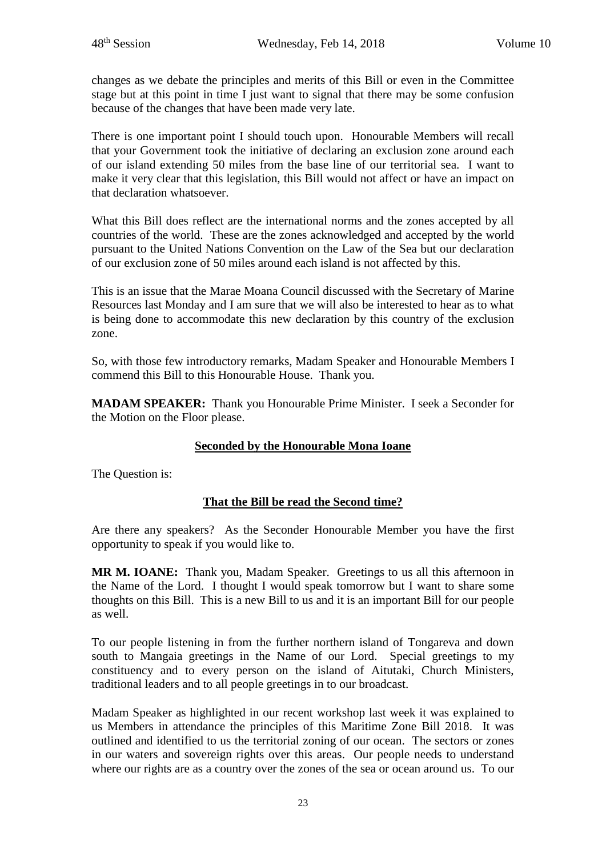changes as we debate the principles and merits of this Bill or even in the Committee stage but at this point in time I just want to signal that there may be some confusion because of the changes that have been made very late.

There is one important point I should touch upon. Honourable Members will recall that your Government took the initiative of declaring an exclusion zone around each of our island extending 50 miles from the base line of our territorial sea. I want to make it very clear that this legislation, this Bill would not affect or have an impact on that declaration whatsoever.

What this Bill does reflect are the international norms and the zones accepted by all countries of the world. These are the zones acknowledged and accepted by the world pursuant to the United Nations Convention on the Law of the Sea but our declaration of our exclusion zone of 50 miles around each island is not affected by this.

This is an issue that the Marae Moana Council discussed with the Secretary of Marine Resources last Monday and I am sure that we will also be interested to hear as to what is being done to accommodate this new declaration by this country of the exclusion zone.

So, with those few introductory remarks, Madam Speaker and Honourable Members I commend this Bill to this Honourable House. Thank you.

**MADAM SPEAKER:** Thank you Honourable Prime Minister. I seek a Seconder for the Motion on the Floor please.

# **Seconded by the Honourable Mona Ioane**

The Question is:

# **That the Bill be read the Second time?**

Are there any speakers? As the Seconder Honourable Member you have the first opportunity to speak if you would like to.

**MR M. IOANE:** Thank you, Madam Speaker. Greetings to us all this afternoon in the Name of the Lord. I thought I would speak tomorrow but I want to share some thoughts on this Bill. This is a new Bill to us and it is an important Bill for our people as well.

To our people listening in from the further northern island of Tongareva and down south to Mangaia greetings in the Name of our Lord. Special greetings to my constituency and to every person on the island of Aitutaki, Church Ministers, traditional leaders and to all people greetings in to our broadcast.

Madam Speaker as highlighted in our recent workshop last week it was explained to us Members in attendance the principles of this Maritime Zone Bill 2018. It was outlined and identified to us the territorial zoning of our ocean. The sectors or zones in our waters and sovereign rights over this areas. Our people needs to understand where our rights are as a country over the zones of the sea or ocean around us. To our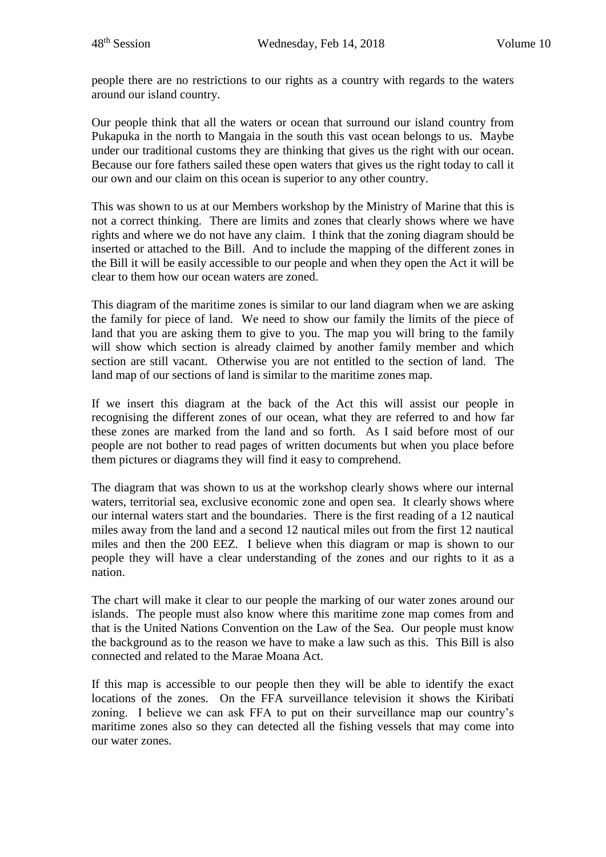people there are no restrictions to our rights as a country with regards to the waters around our island country.

Our people think that all the waters or ocean that surround our island country from Pukapuka in the north to Mangaia in the south this vast ocean belongs to us. Maybe under our traditional customs they are thinking that gives us the right with our ocean. Because our fore fathers sailed these open waters that gives us the right today to call it our own and our claim on this ocean is superior to any other country.

This was shown to us at our Members workshop by the Ministry of Marine that this is not a correct thinking. There are limits and zones that clearly shows where we have rights and where we do not have any claim. I think that the zoning diagram should be inserted or attached to the Bill. And to include the mapping of the different zones in the Bill it will be easily accessible to our people and when they open the Act it will be clear to them how our ocean waters are zoned.

This diagram of the maritime zones is similar to our land diagram when we are asking the family for piece of land. We need to show our family the limits of the piece of land that you are asking them to give to you. The map you will bring to the family will show which section is already claimed by another family member and which section are still vacant. Otherwise you are not entitled to the section of land. The land map of our sections of land is similar to the maritime zones map.

If we insert this diagram at the back of the Act this will assist our people in recognising the different zones of our ocean, what they are referred to and how far these zones are marked from the land and so forth. As I said before most of our people are not bother to read pages of written documents but when you place before them pictures or diagrams they will find it easy to comprehend.

The diagram that was shown to us at the workshop clearly shows where our internal waters, territorial sea, exclusive economic zone and open sea. It clearly shows where our internal waters start and the boundaries. There is the first reading of a 12 nautical miles away from the land and a second 12 nautical miles out from the first 12 nautical miles and then the 200 EEZ. I believe when this diagram or map is shown to our people they will have a clear understanding of the zones and our rights to it as a nation.

The chart will make it clear to our people the marking of our water zones around our islands. The people must also know where this maritime zone map comes from and that is the United Nations Convention on the Law of the Sea. Our people must know the background as to the reason we have to make a law such as this. This Bill is also connected and related to the Marae Moana Act.

If this map is accessible to our people then they will be able to identify the exact locations of the zones. On the FFA surveillance television it shows the Kiribati zoning. I believe we can ask FFA to put on their surveillance map our country's maritime zones also so they can detected all the fishing vessels that may come into our water zones.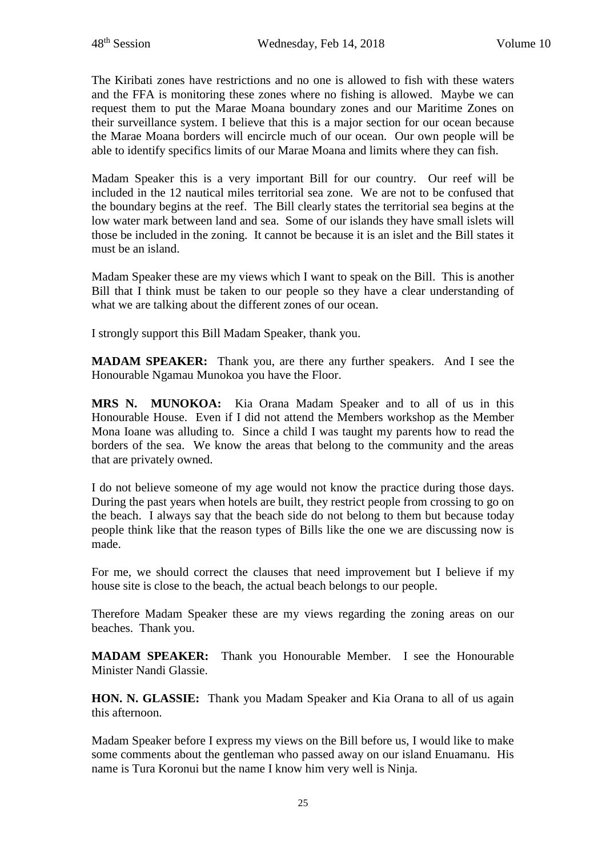The Kiribati zones have restrictions and no one is allowed to fish with these waters and the FFA is monitoring these zones where no fishing is allowed. Maybe we can request them to put the Marae Moana boundary zones and our Maritime Zones on their surveillance system. I believe that this is a major section for our ocean because the Marae Moana borders will encircle much of our ocean. Our own people will be able to identify specifics limits of our Marae Moana and limits where they can fish.

Madam Speaker this is a very important Bill for our country. Our reef will be included in the 12 nautical miles territorial sea zone. We are not to be confused that the boundary begins at the reef. The Bill clearly states the territorial sea begins at the low water mark between land and sea. Some of our islands they have small islets will those be included in the zoning. It cannot be because it is an islet and the Bill states it must be an island.

Madam Speaker these are my views which I want to speak on the Bill. This is another Bill that I think must be taken to our people so they have a clear understanding of what we are talking about the different zones of our ocean.

I strongly support this Bill Madam Speaker, thank you.

**MADAM SPEAKER:** Thank you, are there any further speakers. And I see the Honourable Ngamau Munokoa you have the Floor.

**MRS N. MUNOKOA:** Kia Orana Madam Speaker and to all of us in this Honourable House. Even if I did not attend the Members workshop as the Member Mona Ioane was alluding to. Since a child I was taught my parents how to read the borders of the sea. We know the areas that belong to the community and the areas that are privately owned.

I do not believe someone of my age would not know the practice during those days. During the past years when hotels are built, they restrict people from crossing to go on the beach. I always say that the beach side do not belong to them but because today people think like that the reason types of Bills like the one we are discussing now is made.

For me, we should correct the clauses that need improvement but I believe if my house site is close to the beach, the actual beach belongs to our people.

Therefore Madam Speaker these are my views regarding the zoning areas on our beaches. Thank you.

**MADAM SPEAKER:** Thank you Honourable Member. I see the Honourable Minister Nandi Glassie.

**HON. N. GLASSIE:** Thank you Madam Speaker and Kia Orana to all of us again this afternoon.

Madam Speaker before I express my views on the Bill before us, I would like to make some comments about the gentleman who passed away on our island Enuamanu. His name is Tura Koronui but the name I know him very well is Ninja.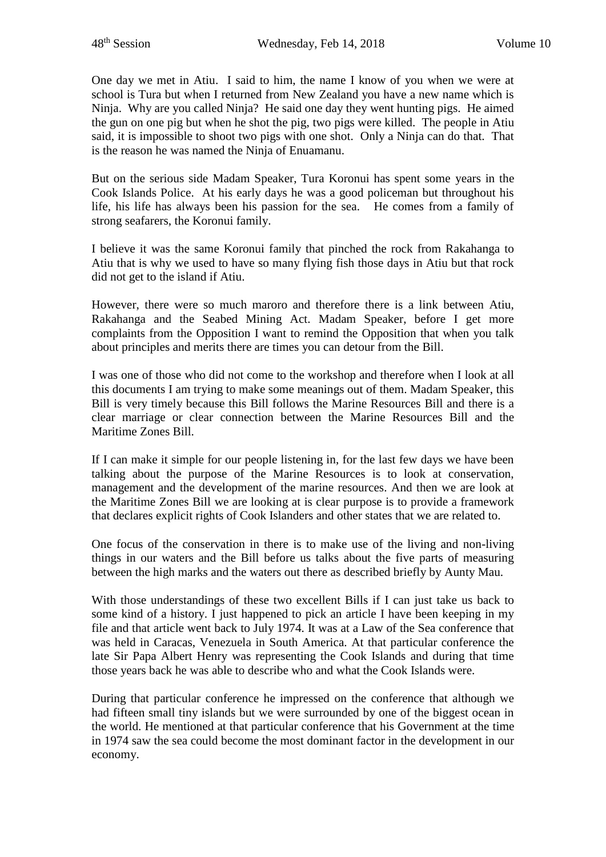One day we met in Atiu. I said to him, the name I know of you when we were at school is Tura but when I returned from New Zealand you have a new name which is Ninja. Why are you called Ninja? He said one day they went hunting pigs. He aimed the gun on one pig but when he shot the pig, two pigs were killed. The people in Atiu said, it is impossible to shoot two pigs with one shot. Only a Ninja can do that. That is the reason he was named the Ninja of Enuamanu.

But on the serious side Madam Speaker, Tura Koronui has spent some years in the Cook Islands Police. At his early days he was a good policeman but throughout his life, his life has always been his passion for the sea. He comes from a family of strong seafarers, the Koronui family.

I believe it was the same Koronui family that pinched the rock from Rakahanga to Atiu that is why we used to have so many flying fish those days in Atiu but that rock did not get to the island if Atiu.

However, there were so much maroro and therefore there is a link between Atiu, Rakahanga and the Seabed Mining Act. Madam Speaker, before I get more complaints from the Opposition I want to remind the Opposition that when you talk about principles and merits there are times you can detour from the Bill.

I was one of those who did not come to the workshop and therefore when I look at all this documents I am trying to make some meanings out of them. Madam Speaker, this Bill is very timely because this Bill follows the Marine Resources Bill and there is a clear marriage or clear connection between the Marine Resources Bill and the Maritime Zones Bill.

If I can make it simple for our people listening in, for the last few days we have been talking about the purpose of the Marine Resources is to look at conservation, management and the development of the marine resources. And then we are look at the Maritime Zones Bill we are looking at is clear purpose is to provide a framework that declares explicit rights of Cook Islanders and other states that we are related to.

One focus of the conservation in there is to make use of the living and non-living things in our waters and the Bill before us talks about the five parts of measuring between the high marks and the waters out there as described briefly by Aunty Mau.

With those understandings of these two excellent Bills if I can just take us back to some kind of a history. I just happened to pick an article I have been keeping in my file and that article went back to July 1974. It was at a Law of the Sea conference that was held in Caracas, Venezuela in South America. At that particular conference the late Sir Papa Albert Henry was representing the Cook Islands and during that time those years back he was able to describe who and what the Cook Islands were.

During that particular conference he impressed on the conference that although we had fifteen small tiny islands but we were surrounded by one of the biggest ocean in the world. He mentioned at that particular conference that his Government at the time in 1974 saw the sea could become the most dominant factor in the development in our economy.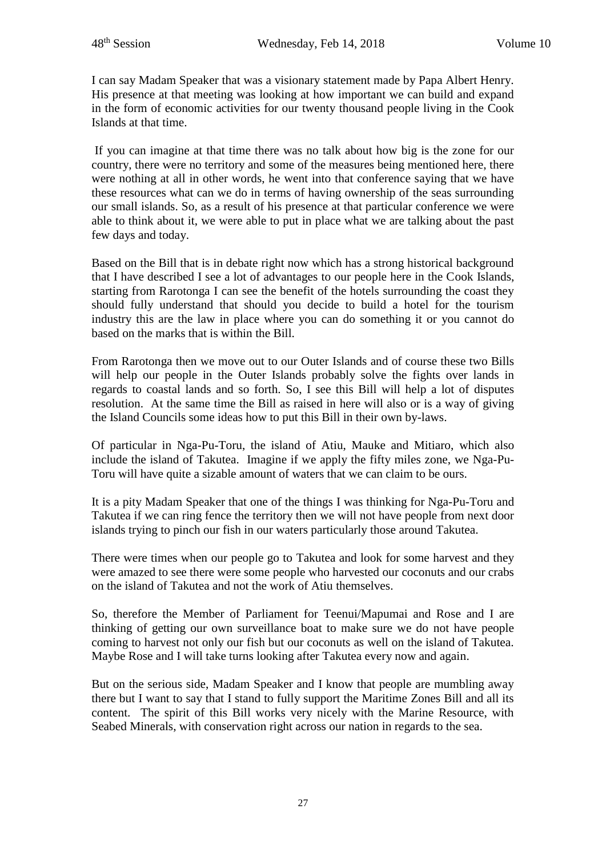I can say Madam Speaker that was a visionary statement made by Papa Albert Henry. His presence at that meeting was looking at how important we can build and expand in the form of economic activities for our twenty thousand people living in the Cook Islands at that time.

If you can imagine at that time there was no talk about how big is the zone for our country, there were no territory and some of the measures being mentioned here, there were nothing at all in other words, he went into that conference saying that we have these resources what can we do in terms of having ownership of the seas surrounding our small islands. So, as a result of his presence at that particular conference we were able to think about it, we were able to put in place what we are talking about the past few days and today.

Based on the Bill that is in debate right now which has a strong historical background that I have described I see a lot of advantages to our people here in the Cook Islands, starting from Rarotonga I can see the benefit of the hotels surrounding the coast they should fully understand that should you decide to build a hotel for the tourism industry this are the law in place where you can do something it or you cannot do based on the marks that is within the Bill.

From Rarotonga then we move out to our Outer Islands and of course these two Bills will help our people in the Outer Islands probably solve the fights over lands in regards to coastal lands and so forth. So, I see this Bill will help a lot of disputes resolution. At the same time the Bill as raised in here will also or is a way of giving the Island Councils some ideas how to put this Bill in their own by-laws.

Of particular in Nga-Pu-Toru, the island of Atiu, Mauke and Mitiaro, which also include the island of Takutea. Imagine if we apply the fifty miles zone, we Nga-Pu-Toru will have quite a sizable amount of waters that we can claim to be ours.

It is a pity Madam Speaker that one of the things I was thinking for Nga-Pu-Toru and Takutea if we can ring fence the territory then we will not have people from next door islands trying to pinch our fish in our waters particularly those around Takutea.

There were times when our people go to Takutea and look for some harvest and they were amazed to see there were some people who harvested our coconuts and our crabs on the island of Takutea and not the work of Atiu themselves.

So, therefore the Member of Parliament for Teenui/Mapumai and Rose and I are thinking of getting our own surveillance boat to make sure we do not have people coming to harvest not only our fish but our coconuts as well on the island of Takutea. Maybe Rose and I will take turns looking after Takutea every now and again.

But on the serious side, Madam Speaker and I know that people are mumbling away there but I want to say that I stand to fully support the Maritime Zones Bill and all its content. The spirit of this Bill works very nicely with the Marine Resource, with Seabed Minerals, with conservation right across our nation in regards to the sea.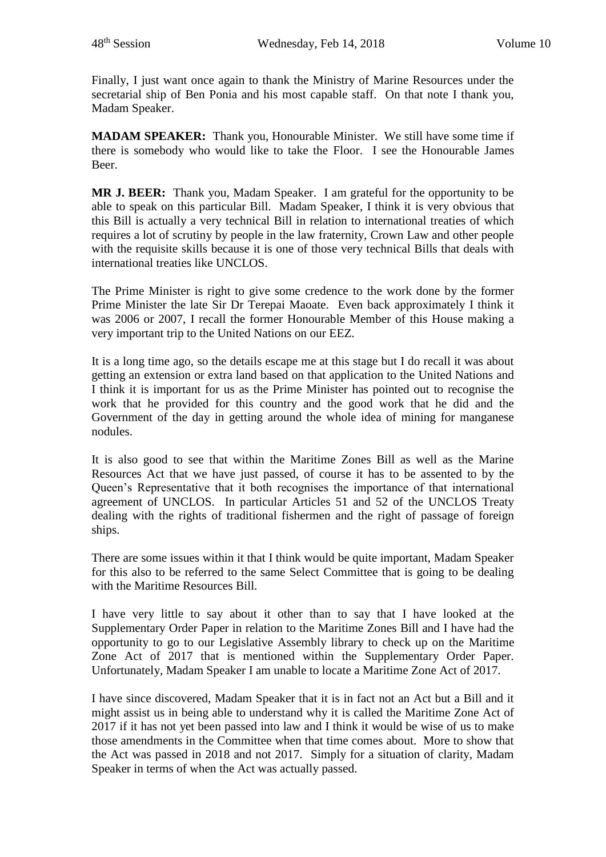Finally, I just want once again to thank the Ministry of Marine Resources under the secretarial ship of Ben Ponia and his most capable staff. On that note I thank you, Madam Speaker.

**MADAM SPEAKER:** Thank you, Honourable Minister. We still have some time if there is somebody who would like to take the Floor. I see the Honourable James Beer.

**MR J. BEER:** Thank you, Madam Speaker. I am grateful for the opportunity to be able to speak on this particular Bill. Madam Speaker, I think it is very obvious that this Bill is actually a very technical Bill in relation to international treaties of which requires a lot of scrutiny by people in the law fraternity, Crown Law and other people with the requisite skills because it is one of those very technical Bills that deals with international treaties like UNCLOS.

The Prime Minister is right to give some credence to the work done by the former Prime Minister the late Sir Dr Terepai Maoate. Even back approximately I think it was 2006 or 2007, I recall the former Honourable Member of this House making a very important trip to the United Nations on our EEZ.

It is a long time ago, so the details escape me at this stage but I do recall it was about getting an extension or extra land based on that application to the United Nations and I think it is important for us as the Prime Minister has pointed out to recognise the work that he provided for this country and the good work that he did and the Government of the day in getting around the whole idea of mining for manganese nodules.

It is also good to see that within the Maritime Zones Bill as well as the Marine Resources Act that we have just passed, of course it has to be assented to by the Queen's Representative that it both recognises the importance of that international agreement of UNCLOS. In particular Articles 51 and 52 of the UNCLOS Treaty dealing with the rights of traditional fishermen and the right of passage of foreign ships.

There are some issues within it that I think would be quite important, Madam Speaker for this also to be referred to the same Select Committee that is going to be dealing with the Maritime Resources Bill.

I have very little to say about it other than to say that I have looked at the Supplementary Order Paper in relation to the Maritime Zones Bill and I have had the opportunity to go to our Legislative Assembly library to check up on the Maritime Zone Act of 2017 that is mentioned within the Supplementary Order Paper. Unfortunately, Madam Speaker I am unable to locate a Maritime Zone Act of 2017.

I have since discovered, Madam Speaker that it is in fact not an Act but a Bill and it might assist us in being able to understand why it is called the Maritime Zone Act of 2017 if it has not yet been passed into law and I think it would be wise of us to make those amendments in the Committee when that time comes about. More to show that the Act was passed in 2018 and not 2017. Simply for a situation of clarity, Madam Speaker in terms of when the Act was actually passed.